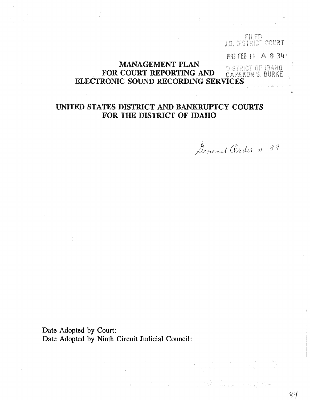# FILED<br>J.S. BISTRICT COURT **MP3 FEB 11 A & 34** MANAGEMENT PLAN **FOR COURT REPORTING AND DISTRICT OF IDAHO** ELECTRONIC SOUND RECORDING SERVICES

## UNITED STATES DISTRICT AND BANKRUPTCY COURTS FOR THE DISTRICT OF IDAHO

General Order # 89

89

Date Adopted by Court: Date Adopted by Ninth Circuit Judicial Council: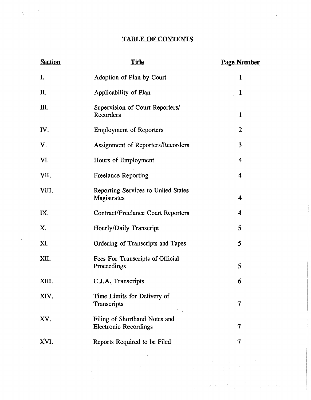## TABLE OF CONTENTS

 $\langle \rangle$ 

 $\mathcal{L}^{\text{max}}_{\text{max}}$ 

 $\sim 10^5$ 

 $\label{eq:2} \frac{1}{2} \sum_{i=1}^n \frac{1}{2} \sum_{j=1}^n \frac{1}{2} \sum_{j=1}^n \frac{1}{2} \sum_{j=1}^n \frac{1}{2} \sum_{j=1}^n \frac{1}{2} \sum_{j=1}^n \frac{1}{2} \sum_{j=1}^n \frac{1}{2} \sum_{j=1}^n \frac{1}{2} \sum_{j=1}^n \frac{1}{2} \sum_{j=1}^n \frac{1}{2} \sum_{j=1}^n \frac{1}{2} \sum_{j=1}^n \frac{1}{2} \sum_{j=1}^n \frac{1}{$ 

 $\frac{1}{2}$ 

| <b>Section</b> | <b>Title</b>                                                  | <b>Page Number</b>      |
|----------------|---------------------------------------------------------------|-------------------------|
| I.             | Adoption of Plan by Court                                     | $\mathbf{1}$            |
| П.             | Applicability of Plan                                         | 1                       |
| Ш.             | Supervision of Court Reporters/<br>Recorders                  | $\mathbf{1}$            |
| IV.            | <b>Employment of Reporters</b>                                | $\overline{2}$          |
| V.             | Assignment of Reporters/Recorders                             | 3                       |
| VI.            | Hours of Employment                                           | 4                       |
| VII.           | <b>Freelance Reporting</b>                                    | $\overline{\bf 4}$      |
| VIII.          | Reporting Services to United States<br>Magistrates            | $\overline{\mathbf{4}}$ |
| IX.            | <b>Contract/Freelance Court Reporters</b>                     | 4                       |
| Χ.             | Hourly/Daily Transcript                                       | 5                       |
| XI.            | Ordering of Transcripts and Tapes                             | 5                       |
| XII.           | Fees For Transcripts of Official<br>Proceedings               | 5                       |
| XIII.          | C.J.A. Transcripts                                            | 6                       |
| XIV.           | Time Limits for Delivery of<br>Transcripts                    | 7                       |
| XV.            | Filing of Shorthand Notes and<br><b>Electronic Recordings</b> | $\overline{7}$          |
| XVI.           | Reports Required to be Filed                                  | 7                       |

 $\Delta \phi = 0.01$  and  $\phi = 0.01$ 

 $\label{eq:2.1} \begin{split} \mathcal{L}_{\text{max}}(\mathbf{r},\mathbf{r}) = \frac{1}{2} \sum_{i=1}^{N} \mathcal{L}_{\text{max}}(\mathbf{r},\mathbf{r}) \mathcal{L}_{\text{max}}(\mathbf{r},\mathbf{r}) = \frac{1}{2} \sum_{i=1}^{N} \mathcal{L}_{\text{max}}(\mathbf{r},\mathbf{r}) \mathcal{L}_{\text{max}}(\mathbf{r},\mathbf{r}) \mathcal{L}_{\text{max}}(\mathbf{r},\mathbf{r}) \mathcal{L}_{\text{max}}(\mathbf{r},\mathbf{r}) \mathcal{L}_{\text{$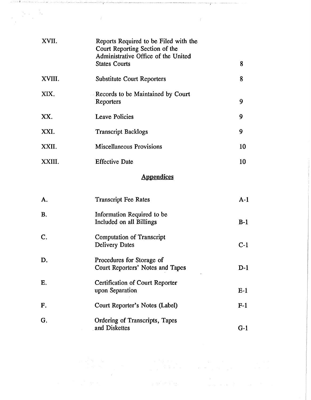| XVII.  | Reports Required to be Filed with the<br>Court Reporting Section of the<br>Administrative Office of the United<br><b>States Courts</b> | 8  |
|--------|----------------------------------------------------------------------------------------------------------------------------------------|----|
|        |                                                                                                                                        |    |
| XVIII. | <b>Substitute Court Reporters</b>                                                                                                      | 8  |
| XIX.   | Records to be Maintained by Court<br>Reporters                                                                                         | 9  |
| XX.    | <b>Leave Policies</b>                                                                                                                  | 9  |
| XXI.   | <b>Transcript Backlogs</b>                                                                                                             | 9  |
| XXII.  | <b>Miscellaneous Provisions</b>                                                                                                        | 10 |
| XXIII. | <b>Effective Date</b>                                                                                                                  | 10 |
|        |                                                                                                                                        |    |

ng.

 $\mathcal{A}^{\mathcal{A}}$ 

 $\label{eq:2.1} \begin{split} \frac{d}{dt} \left[ \frac{d}{dt} \left( \frac{d}{dt} \right) \right] & = \frac{d}{dt} \left[ \frac{d}{dt} \left( \frac{d}{dt} \right) \right] & = \frac{d}{dt} \left( \frac{d}{dt} \right) \left( \frac{d}{dt} \right) & = \frac{d}{dt} \left( \frac{d}{dt} \right) \left( \frac{d}{dt} \right) & = \frac{d}{dt} \left( \frac{d}{dt} \right) \left( \frac{d}{dt} \right) & = \frac{d}{dt} \left( \frac{d}{dt} \right) & = \frac{d}{dt} \left$ 

 $\label{eq:2} \mathcal{L}(\mathcal{H}^2,\mathcal{H}^2,\mathcal{F}^2) \geq \mathcal{L}(\mathcal{H}^2,\mathcal{F}^2)$ 

 $\label{eq:1} \begin{split} \mathcal{L}_{\mathcal{A}}(\mathcal{A}) = \mathcal{L}_{\mathcal{A}}(\mathcal{A}) = \mathcal{L}_{\mathcal{A}}(\mathcal{A}) = \mathcal{L}_{\mathcal{A}}(\mathcal{A}) = \mathcal{L}_{\mathcal{A}}(\mathcal{A}) = \mathcal{L}_{\mathcal{A}}(\mathcal{A}) = \mathcal{L}_{\mathcal{A}}(\mathcal{A}) = \mathcal{L}_{\mathcal{A}}(\mathcal{A}) = \mathcal{L}_{\mathcal{A}}(\mathcal{A}) = \mathcal{L}_{\mathcal{A}}(\mathcal{A}) = \mathcal{L}_{\mathcal{A}}(\mathcal{A})$ 

erritoriante de la forma esta a sua paraba e como establecer a la paraba de la paraba de la paraba de parabald<br>La paraba

 $\sim 10^{-1}$ 

# **Appendices**

| A.             | <b>Transcript Fee Rates</b>                                   | $A-1$ |
|----------------|---------------------------------------------------------------|-------|
| <b>B.</b>      | Information Required to be<br>Included on all Billings        | $B-1$ |
| $\mathbf{C}$ . | <b>Computation of Transcript</b><br><b>Delivery Dates</b>     | $C-1$ |
| D.             | Procedures for Storage of<br>Court Reporters' Notes and Tapes | $D-1$ |
| E.             | <b>Certification of Court Reporter</b><br>upon Separation     | $E-1$ |
| F.             | Court Reporter's Notes (Label)                                | $F-1$ |
| G.             | Ordering of Transcripts, Tapes<br>and Diskettes               | G-1   |

 $\begin{split} \frac{1}{2} \frac{1}{2} \frac{1}{2} \frac{d^2\phi}{d\phi} & = \frac{1}{2} \frac{1}{2} \frac{1}{2} \frac{d\phi}{d\phi} \\ & = \frac{1}{2} \frac{1}{2} \frac{d^2\phi}{d\phi} & = \frac{1}{2} \frac{1}{2} \frac{d\phi}{d\phi} \\ & = \frac{1}{2} \frac{1}{2} \frac{d\phi}{d\phi} & = \frac{1}{2} \frac{d\phi}{d\phi} \\ & = \frac{1}{2} \frac{d\phi}{d\phi} & = \frac{1}{2} \frac{d\phi}{d\phi} &$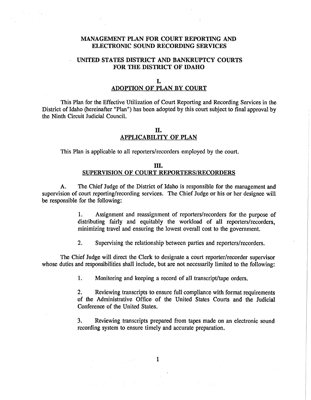## MANAGEMENT PLAN FOR COURT REPORTING AND ELECTRONIC SOUND RECORDING SERVICES

## UNITED STATES DISTRICT AND BANKRUPTCY COURTS FOR THE DISTRICT OF IDAHO

## I. ADOPTION OF PLAN BY COURT

This Plan for the Effective Utilization of Court Reporting and Recording Services in the District of Idaho (hereinafter "Plan") has been adopted by this court subject to final approval by the Ninth Circuit Judicial Council.

## n. APPLICABILITY OF PLAN

This Plan is applicable to all reporters/recorders employed by the court.

### m. SUPERVISION OF COURT REPORTERS/RECORDERS

A. The Chief Judge of the District of Idaho is responsible for the management and supervision of court reporting/recording services. The Chief Judge or his or her designee will be responsible for the following:

> 1. Assignment and reassignment of reporters/recorders for the purpose of distributing fairly and equitably the workload of all reporters/recorders, minimizing travel and ensuring the lowest overall cost to the government.

2. Supervising the relationship between parties and reporters/recorders.

The Chief Judge will direct the Clerk to designate a court reporter/recorder supervisor whose duties and responsibilities shall include, but are not necessarily limited to the following:

1. Monitoring and keeping a record of all transcript/tape orders.

2. Reviewing transcripts to ensure full compliance with format requirements of the Administrative Office of the United States Courts and the Judicial Conference of the United States.

3. Reviewing transcripts prepared from tapes made on an electronic sound recording system to ensure timely and accurate preparation.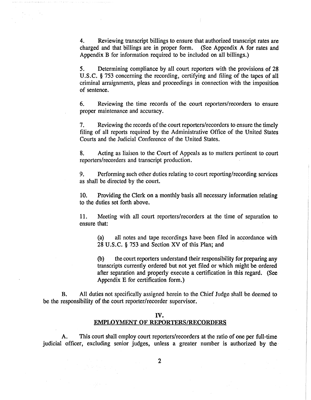4. Reviewing transcript billings to ensure that authorized transcript rates are charged and that billings are in proper form. (See Appendix A for rates and Appendix B for information required to be included on all billings.)

5. Determining compliance by all court reporters with the provisions of 28 U.S.C. § 753 concerning the recording, certifying and filing of the tapes of all criminal arraignments, pleas and proceedings in connection with the imposition of sentence.

6. Reviewing the time records of the court reporters/recorders to ensure proper maintenance and accuracy.

7. Reviewing the records of the court reporters/recorders to ensure the timely filing of all reports required by the Administrative Office of the United States Courts and the Judicial Conference of the United States.

8. Acting as liaison to the Court of Appeals as to matters pertinent to court reporters/recorders and transcript production.

9. Performing such other duties relating to court reporting/recording services as shall be directed by the court.

10. Providing the Clerk on a monthly basis all necessary information relating to the duties set forth above.

11. Meeting with all court reporters/recorders at the time of separation to ensure that:

(a) all notes and tape recordings have been filed in accordance with 28 U.S. C. § 753 and Section XV of this Plan; and

(b) the court reporters understand their responsibility for preparing any transcripts currently ordered but not yet filed or which might be ordered after separation and properly execute a certification in this regard. (See Appendix E for certification form.)

B. All duties not specifically assigned herein to the Chief Judge shall be deemed to be the responsibility of the court reporter/recorder supervisor.

## IV. EMPLOYMENT OF REPORTERS/RECORDERS

A. This court shall employ court reporters/recorders at the ratio of one per full-time judicial officer, excluding senior judges, unless a greater number is authorized by the·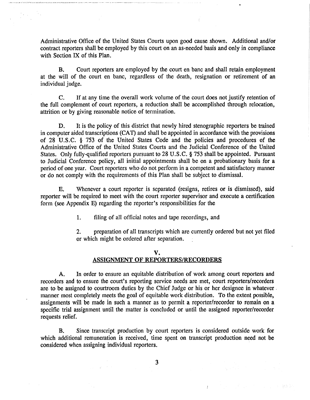Administrative Office of the United States Courts upon good cause shown. Additional and/or contract reporters shall be employed by this court on an as-needed basis and only in compliance with Section IX of this Plan.

 $\frac{1}{2} \frac{1}{\sqrt{2}} \frac{1}{\sqrt{2}}$ 

B. Court reporters are employed by the court en bane and shall retain employment at the will of the court en bane, regardless of the death, resignation or retirement of an individual judge.

C. If at any time the overall work volume of the court does not justify retention of the full complement of court reporters, a reduction shall be accomplished through relocation, attrition or by giving reasonable notice of termination.

D. It is the policy of this district that newly hired stenographic reporters be trained in computer aided transcriptions (CAT) and shall be appointed in accordance with the provisions of 28 U.S.C. § 753 of the United States Code and the policies and procedures of the Administrative Office of the United States Courts and the Judicial Conference of the United States. Only fully-qualified reporters pursuant to 28 U.S.C. § 753 shall be appointed. Pursuant to Judicial Conference policy, all initial appointments shall be on a probationary basis for a period of one year. Court reporters who do not perform in a competent and satisfactory manner or do not comply with the requirements of this Plan shall be subject to dismissal.

E. Whenever a court reporter is separated (resigns, retires or is dismissed), said reporter will be required to meet with the court reporter supervisor and execute a certification form (see Appendix E) regarding the reporter's responsibilities for the

1. filing of all official notes and tape recordings, and

2. preparation of all transcripts which are currently ordered but not yet filed or which might be ordered after separation.

### v. ASSIGNMENT OF REPORTERS/RECORDERS

A. In order to ensure an equitable distribution of work among court reporters and recorders and to ensure the court's reporting service needs are met, court reporters/recorders are to be assigned to courtroom duties by the Chief Judge or his or her designee in whatever . manner most completely meets the goal of equitable work distribution. To the extent possible, assignments will be made in such a manner as to permit a reporter/recorder to remain on a specific trial assignment until the matter is concluded or until the assigned reporter/recorder requests relief.

B. Since transcript production by court reporters is considered outside work for which additional remuneration is received, time spent on transcript production need not be considered when assigning individual reporters.

3

÷.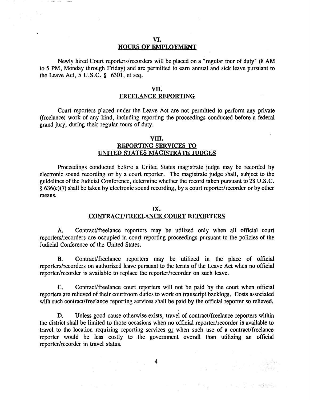#### VI. HOURS OF EMPLOYMENT

Newly hired Court reporters/recorders will be placed on a "regular tour of duty" (8 AM to 5 PM, Monday through Friday) and are permitted to earn annual and sick leave pursuant to the Leave Act,  $5$  U.S.C. § 6301, et seq.

## vn.

## FREELANCE REPORTING

Court reporters placed under the Leave Act are not permitted to perform any private (freelance) work of any kind, including reporting the proceedings conducted before a federal grand jury, during their regular tours of duty.

### vm. REPORTING SERVICES TO UNITED STATES MAGISTRATE JUDGES

Proceedings conducted before a United States magistrate judge may be recorded by electronic sound recording or by a court reporter. The magistrate judge shall, subject to the guidelines of the Judicial Conference, determine whether the record taken pursuant to 28 U.S.C. § 636(c)(7) shall be taken by electronic sound recording, by a court reporter/recorder or by other means.

#### IX.

## CONTRACT/FREELANCE COURT REPORTERS

A. Contract/freelance reporters may be utilized only when all official court reporters/recorders are occupied in court reporting proceedings pursuant to the policies of the Judicial Conference of the United States.

B. Contract/freelance reporters may be utilized in the place of official reporters/recorders on authorized leave pursuant to the tenns of the Leave Act when no official reporter/recorder is available to replace the reporter/recorder on such leave.

C. Contract/freelance court reporters will not be paid by the court when official reporters are relieved of their courtroom duties to work on transcript backlogs. Costs associated with such contract/freelance reporting services shall be paid by the official reporter so relieved.

D. Unless good cause otherwise exists, travel of contract/freelance reporters within the district shall be limited to those occasions when no official reporter/recorder is available to travel to the location requiring reporting services or when such use of a contract/freelance reporter would be less costly to the government overall than utilizing an official reporter/recorder in travel status.

· 10. 15 (1) · 22 (2) 2010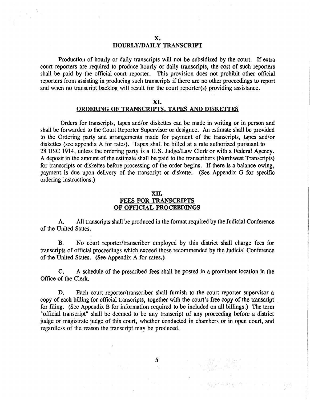Production of hourly or daily transcripts will not be subsidized by the court. If extra court reporters are required to produce hourly or daily transcripts, the cost of such reporters shall be paid by the official court reporter. This provision does not prohibit other official reporters from assisting in producing such transcripts if there are no other proceedings to report and when no transcript backlog will result for the court reporter(s) providing assistance.

## XI. ORDERING OF TRANSCRIPTS. TAPES AND DISKETTES

Orders for transcripts, tapes and/or diskettes can be made in writing or in person and shall be forwarded to the Court Reporter Supervisor or designee. An estimate shall be provided to the Ordering party and arrangements made for payment of the transcripts, tapes and/or diskettes (see appendix A for rates). Tapes shall be billed at a rate authorized pursuant to 28 USC 1914, unless the ordering party is a U.S. Judge/Law Clerk or with a Federal Agency. A deposit in the amount of the estimate shall be paid to the transcribers (Northwest Transcripts) for transcripts or diskettes before processing of the order begins. If there is a balance owing, payment is due upon delivery of the transcript or diskette. (See Appendix G for specific ordering instructions.)

## xn. FEES FOR TRANSCRIPTS OF OFFICIAL PROCEEDINGS

A. All transcripts shall be produced in the format required by the Judicial Conference of the United States.

B. No court reporter/transcriber employed by this district shall charge fees for transcripts of official proceedings which exceed those recommended by the Judicial Conference of the United States. (See Appendix A for rates.)

C. A schedule of the prescribed fees shall be posted in a prominent location in the Office of the Clerk.

D. Each court reporter/transcriber shall furnish to the court reporter supervisor a copy of each billing for official transcripts, together with the court's free copy of the transcript for filing. (See Appendix B for information required to be included on all billings.) The term "official transcript" shall be deemed to be any transcript of any proceeding before a district judge or magistrate judge of this court, whether conducted in chambers or in open court, and regardless of the reason the transcript may be produced.

*5* 

그렇지 소리가 부족으로 잘 먹으니 그 아이가 있다.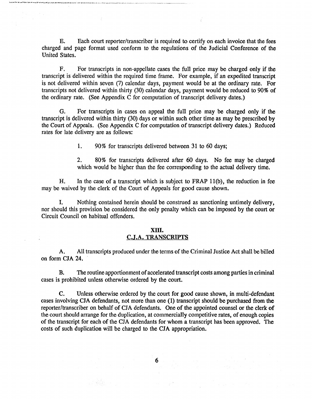E. Each court reporter/transcriber is required to certify on each invoice that the fees charged and page format used conform to the regulations of the Judicial Conference of the United States.

F. For transcripts in non-appellate cases the full price may be charged only if the transcript is delivered within the required time frame. For example, if an expedited transcript is not delivered within seven (7) calendar days, payment would be at the ordinary rate. For transcripts not delivered within thirty (30) calendar days, payment would be reduced to 90% of the ordinary rate. (See Appendix C for computation of transcript delivery dates.)

G. For transcripts in cases on appeal the full price may be charged only if the transcript is delivered within thirty (30) days or within such other time as may be prescribed by the Court of Appeals. (See Appendix C for computation of transcript delivery dates.) Reduced rates for late delivery are as follows:

1. 90% for transcripts delivered between 31 to 60 days;

2. 80% for transcripts delivered after 60 days. No fee may be charged which would be higher than the fee corresponding to the actual delivery time.

H. In the case of a transcript which is subject to FRAP ll(b), the reduction in fee may be waived by the clerk of the Court of Appeals for good cause shown.

I. Nothing contained herein should be construed as sanctioning untimely delivery, nor should this provision be considered the only penalty which can be imposed by the court or Circuit Council on habitual offenders.

### xm. C.J.A. TRANSCRIPTS

A. All transcripts produced under the terms of the Criminal Justice Act shall be billed on form CJA 24.

B. The routine apportionment of accelerated transcript costs among parties in criminal cases is prohibited unless otherwise ordered by the court.

C. Unless otherwise ordered by the court for good cause shown, in multi-defendant cases involving CJA defendants, not more than one (1) transcript should be purchased from the reporter/transcriber on behalf of CJA defendants. One of the appointed counsel or the clerk of the court should arrange for the duplication, at commercially competitive rates, of enough copies of the transcript for each of the CJA defendants for whom a transcript has been approved. The costs of such duplication will be charged to the CJA appropriation.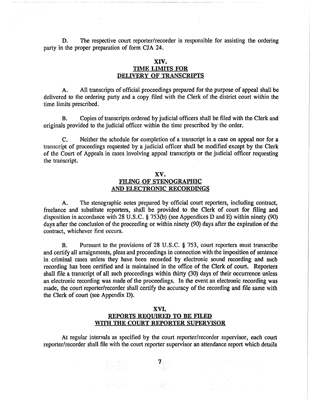D. The respective court reporter/recorder is responsible for assisting the ordering party in the proper preparation of form *CIA* 24.

 $\bar{1}$ 

## XIV. TIME LIMITS FOR DELIVERY OF TRANSCRIPTS

A. All transcripts of official proceedings prepared for the purpose of appeal shall be delivered to the ordering party and a copy filed with the Clerk of the district court within the time limits prescribed.

B. Copies of transcripts ordered by judicial officers shall be filed with the Clerk and originals provided to the judicial officer within the time prescribed by the order.

C. Neither the schedule for completion of a transcript in a case on appeal nor for a transcript of proceedings requested by a judicial officer shall be modified except by the Clerk of the Court of Appeals in cases involving appeal transcripts or the judicial officer requesting the transcript.

## XV. FILING OF STENOGRAPHIC AND ELECTRONIC RECORDINGS

A. The stenographic notes prepared by official court reporters, including contract, freelance and substitute reporters, shall be provided to the Clerk of court for filing and disposition in accordance with 28 U.S.C. § 753(b) (see Appendices D and E) within ninety (90) days after the conclusion of the proceeding or within ninety (90) days after the expiration of the contract, whichever first occurs.

B. Pursuant to the provisions of 28 U.S.C. § 753, court reporters must transcribe and certify all arraignments, pleas and proceedings in connection with the imposition of sentence in criminal cases unless they have been recorded by electronic sound recording and such recording has been certified and is maintained in the office of the Clerk of court. Reporters shall file a transcript of all such proceedings within thirty (30) days of their occurrence unless an electronic recording was made of the proceedings. In the event an electronic recording was made, the court reporter/recorder shall certify the accuracy of the recording and file same with the Clerk of court (see Appendix D).

## XVI. REPORTS REQUIRED TO BE FILED WITH THE COURT REPORTER SUPERVISOR

At regular intervals as specified by the court reporter/recorder supervisor, each court reporter/recorder shall file with the court reporter supervisor an attendance report which details

이 이 사진 동생 사진은 아이들이 나서 이 사용해 있습니다. 이 아이들이 있

and the second term of the second term of the second term of the second term of the second term of the second <br>The second term of the second term of the second term of the second term of the second term of the second term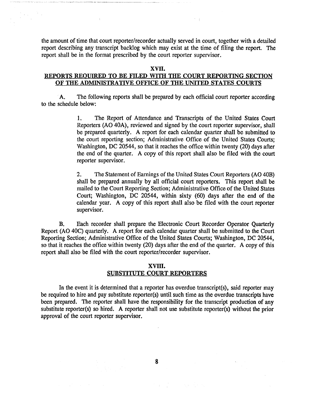the amount of time that court reporter/recorder actually served in court, together with a detailed report describing any transcript backlog which may exist at the time of filing the report. The report shall be in the format prescribed by the court reporter supervisor.

### xvn.

## REPORTS REQUIRED TO BE FILED WITH THE COURT REPORTING SECTION OF THE ADMINISTRATIVE OFFICE OF THE UNITED STATES COURTS

A. The following reports shall be prepared by each official court reporter according to the schedule below:

> 1. The Report of Attendance and Transcripts of the United States Court Reporters (AO 40A), reviewed and signed by the court reporter supervisor, shall be prepared quarterly. A report for each calendar quarter shall be submitted to the court reporting section; Administrative Office of the United States Courts; Washington, DC 20544, so that it reaches the office within twenty (20) days after the end of the quarter. A copy of this report shall also be filed with the court reporter supervisor.

> 2. The Statement of Earnings of the United States Court Reporters (AO 40B) shall be prepared annually by all official court reporters. This report shall be mailed to the Court Reporting Section; Administrative Office of the United States Court; Washington, DC 20544, within sixty (60) days after the end of the calendar year. A copy of this report shall also be filed with the court reporter supervisor.

B. Each recorder shall prepare the Electronic Court Recorder Operator Quarterly Report (AO 40C) quarterly. A report for each calendar quarter shall be submitted to the Court Reporting Section; Administrative Office of the United States Courts; Washington, DC 20544, so that it reaches the office within twenty (20) days after the end of the quarter. A copy of this report shall also be filed with the court reporter/recorder supervisor.

## xvm. SUBSTITUTE COURT REPORTERS

In the event it is determined that a reporter has overdue transcript(s), said reporter may be required to hire and pay substitute reporter(s) until such time as the overdue transcripts have been prepared. The reporter shall have the responsibility for the transcript production of any substitute reporter(s) so hired. A reporter shall not use substitute reporter(s) without the prior approval of the court reporter supervisor.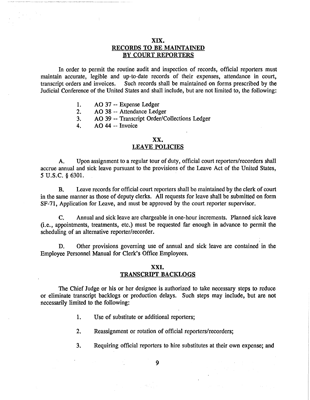## XIX. RECORDS TO BE MAINTAINED BY COURT REPORTERS

In order to permit the routine audit and inspection of records, official reporters must maintain accurate, legible and up-to-date records of their expenses, attendance in court, transcript orders and invoices. Such records shall be maintained on forms prescribed by the Such records shall be maintained on forms prescribed by the Judicial Conference of the United States and shall include, but are not limited to, the following:

- 1. AO 37 -- Expense Ledger
- 2. AO 38 -- Attendance Ledger
- 3. AO 39 --Transcript Order/Collections Ledger
- 4. AO 44 -- Invoice

## XX.

#### LEAVE POLICIES

A. Upon assignment to a regular tour of duty, official court reporters/recorders shall accrue annual and sick leave pursuant to the provisions of the Leave Act of the United States, *5* u.s.c. § 6301.

B. Leave records for official court reporters shall be maintained by the clerk of court in the same manner as those of deputy clerks. All requests for leave shall be submitted on form SF-71, Application for Leave, and must be approved by the court reporter supervisor.

C. Annual and sick leave are chargeable in one-hour increments. Planned sick leave (i.e., appointments, treatments, etc.) must be requested far enough in advance to permit the scheduling of an alternative reporter/recorder.

D. Other provisions governing use of annual and sick leave are contained in the Employee Personnel Manual for Clerk's Office Employees.

### XXI. TRANSCRIPT BACKLOGS

The Chief Judge or his or her designee is authorized to take necessary steps to reduce or eliminate transcript backlogs or production delays. Such steps may include, but are not necessarily limited to the following:

- 1. Use of substitute or additional reporters;
- 2. Reassignment or rotation of official reporters/recorders;
- 3. Requiring official reporters to hire substitutes at their own expense; and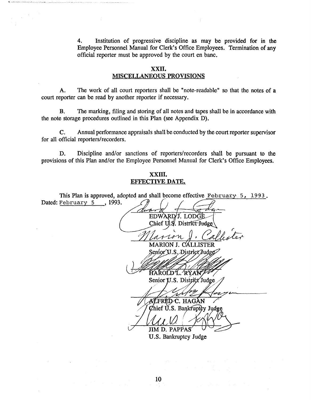4. Institution of progressive discipline as may be provided for in the Employee Personnel Manual for Clerk's Office Employees. Termination of any official reporter must be approved by the court en bane.

## xxn. MISCELLANEOUS PROVISIONS

A. The work of all court reporters shall be "note-readable" so that the notes of a court reporter can be read by another reporter if necessary.

B. The marking, filing and storing of all notes and tapes shall be in accordance with the note storage procedures outlined in this Plan (see Appendix D).

C. Annual performance appraisals shall be conducted by the court reporter supervisor for all official reporters/recorders.

D. Discipline and/or sanctions of reporters/recorders shall be pursuant to the provisions of this Plan and/or the Employee Personnel Manual for Clerk's Office Employees.

#### xxm. EFFECTIVE DATE.

This Plan is approved, adopted and shall become effective February:  $5$ , 1993. Dated: February 5, 1993. EDWARD/J. LODGE Chief U.S. District Judge MARION J. CALLISTER Senior U.S. District Judge HAROLD L. RYAN Senior U.S. District Judge ALFRED C. HAGAN Chief U.S. Bankruptey Judge JIM D. PAPPAS U.S. Bankruptcy Judge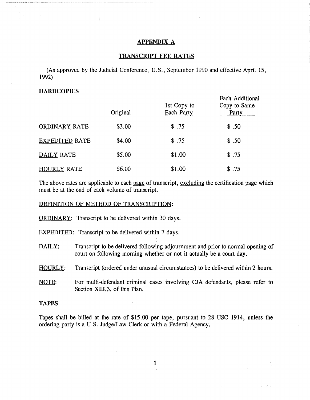#### APPENDIX A

#### TRANSCRIPT FEE RATES

(As approved by the Judicial Conference, U.S., September 1990 and effective April 15, 1992)

### **HARDCOPIES**

|                       | Original | 1st Copy to<br>Each Party | Each Additional<br>Copy to Same<br>Party |
|-----------------------|----------|---------------------------|------------------------------------------|
| <b>ORDINARY RATE</b>  | \$3.00   | \$.75                     | \$.50                                    |
| <b>EXPEDITED RATE</b> | \$4.00   | \$.75                     | \$.50                                    |
| DAILY RATE            | \$5.00   | \$1.00                    | \$.75                                    |
| <b>HOURLY RATE</b>    | \$6.00   | \$1.00                    | \$.75                                    |

The above rates are applicable to each page of transcript, excluding the certification page which must be at the end of each volume of transcript.

#### DEFINITION OF METHOD OF TRANSCRIPTION:

- ORDINARY: Transcript to be delivered within 30 days.
- EXPEDITED: Transcript to be delivered within 7 days.
- DAILY: Transcript to be delivered following adjournment and prior to normal opening of court on following morning whether or not it actually be a court day.
- HOURLY: Transcript (ordered under unusual circumstances) to be delivered within 2 hours.
- NOTE: For multi-defendant criminal cases involving CJA defendants, please refer to Section XIII.3. of this Plan.

#### TAPES

Tapes shall be billed at the rate of \$15.00 per tape, pursuant to 28 USC 1914, unless the ordering party is a U.S. Judge/Law Clerk or with a Federal Agency.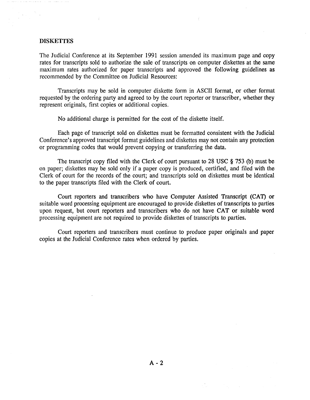#### DISKETTES

The Judicial Conference at its September 1991 session amended its maximum page and copy rates for transcripts sold to authorize the sale of transcripts on computer diskettes at the same maximum rates authorized for paper transcripts and approved the following guidelines as recommended by the Committee on Judicial Resources:

Transcripts may be sold in computer diskette form in ASCII format, or other format requested by the ordering party and agreed to by the court reporter or transcriber, whether they represent originals, first copies or additional copies.

No additional charge is permitted for the cost of the diskette itself.

Each page of transcript sold on diskettes must be formatted consistent with the Judicial Conference's approved transcript format guidelines and diskettes may not contain any protection or programming codes that would prevent copying or transferring the data.

The transcript copy filed with the Clerk of court pursuant to 28 USC § 753 (b) must be on paper; diskettes may be sold only if a paper copy is produced, certified, and filed with the Clerk of court for the records of the court; and transcripts sold on diskettes must be identical to the paper transcripts filed with the Clerk of court.

Court reporters and transcribers who have Computer Assisted Transcript (CAT) or suitable word processing equipment are encouraged to provide diskettes of transcripts to parties upon request, but court reporters and transcribers who do not have CAT or suitable word processing equipment are not required to provide diskettes of transcripts to parties.

Court reporters and transcribers must continue to produce paper originals and paper copies at the Judicial Conference rates when ordered by parties.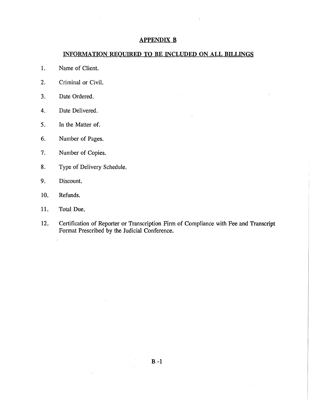## APPENDIX B

## INFORMATION REQUIRED TO BE INCLUDED ON ALL BILLINGS

1. Name of Client.

 $\mathcal{L}_{\mathrm{in}}$ 

- 2. Criminal or Civil.
- 3. Date Ordered.
- 4. Date Delivered.
- 5. In the Matter of.
- 6. Number of Pages.
- 7. Number of Copies.
- 8. Type of Delivery Schedule.
- 9. Discount.
- 10. Refunds.
- 11. Total Due.

÷.

12. Certification of Reporter or Transcription Firm of Compliance with Fee and Transcript Format Prescribed by the Judicial Conference.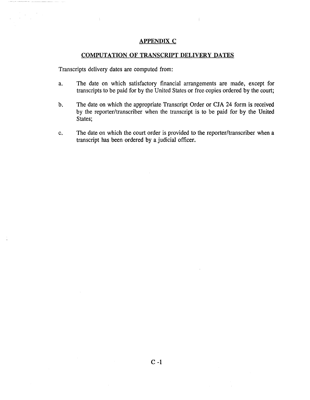#### APPENDIX C

## COMPUTATION OF TRANSCRIPT DELIVERY DATES

Transcripts delivery dates are computed from:

 $\mathcal{L}_{\rm{max}}$ 

- a. The date on which satisfactory financial arrangements are made, except for transcripts to be paid for by the United States or free copies ordered by the court;
- b. The date on which the appropriate Transcript Order or CJA 24 form is received by the reporter/transcriber when the transcript is to be paid for by the United States;
- c. The date on which the court order is provided to the reporter/transcriber when a transcript has been ordered by a judicial officer.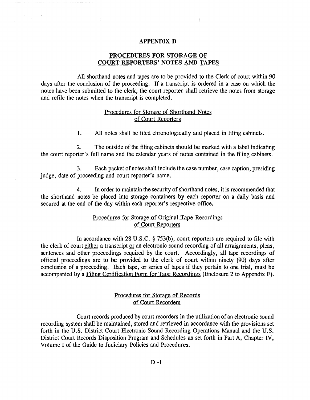#### APPENDIX D

 $\mathcal{L}_{\rm{tot}}$ 

## PROCEDURES FOR STORAGE OF COURT REPORTERS' NOTES AND TAPES

All shorthand notes and tapes are to be provided to the Clerk of court within 90 days after the conclusion of the proceeding. If a transcript is ordered in a case on which the notes have been submitted to the clerk, the court reporter shall retrieve the notes from storage and refile the notes when the transcript is completed.

### Procedures for Storage of Shorthand Notes of Court Reporters

1. All notes shall be filed chronologically and placed in filing cabinets.

2. The outside of the filing cabinets should be marked with a label indicating the court reporter's full name and the calendar years of notes contained in the filing cabinets.

3. Each packet of notes shall include the case number, case caption, presiding judge, date of proceeding and court reporter's name.

4. In order to maintain the security of shorthand notes, it is recommended that the shorthand notes be placed into storage containers by each reporter on a daily basis and secured at the end of the day within each reporter's respective office.

### Procedures for Storage of Original Tape Recordings of Court Reporters

In accordance with 28 U.S.C. § 753(b), court reporters are required to file with the clerk of court either a transcript or an electronic sound recording of all arraignments, pleas, sentences and other proceedings required by the court. Accordingly, all tape recordings of official proceedings are to be provided to the clerk of court within ninety (90) days after conclusion of a proceeding. Each tape, or series of tapes if they pertain to one trial, must be accompanied by a Filing Certification Form for Tape Recordings (Enclosure 2 to Appendix F).

## Procedures for Storage of Records of Court Recorders

Court records produced by court recorders in the utilization of an electronic sound recording system shall be maintained, stored and retrieved in accordance with the provisions set forth in the U.S. District Court Electronic Sound Recording Operations Manual and the U.S. District Court Records Disposition Program and Schedules as set forth in Part A, Chapter IV, Volume I of the Guide to Judiciary Policies and Procedures.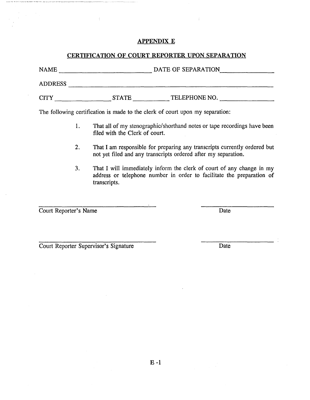## APPENDIX E

## CERTIFICATION OF COURT REPORTER UPON SEPARATION

NAME----------- DATE OF SEPARATION \_\_\_\_\_\_ \_ ADDRESS \_\_\_\_\_\_\_\_\_\_\_\_\_\_\_\_\_\_\_\_\_\_\_\_\_\_\_\_\_\_\_\_\_\_\_\_\_\_\_\_\_ ~------- CITY \_\_\_\_\_\_\_\_\_\_ STATE-------TELEPHONE NO.-------

The following certification is made to the clerk of court upon my separation:

- 1. That all of my stenographic/shorthand notes or tape recordings have been filed with the Clerk of court.
- 2. That I am responsible for preparing any transcripts currently ordered but not yet filed and any transcripts ordered after my separation.
- 3. That I will immediately inform the clerk of court of any change in my address or telephone number in order to facilitate the preparation of transcripts.

**Court Reporter's Name Date** 

**Court Reporter Supervisor's Signature Date**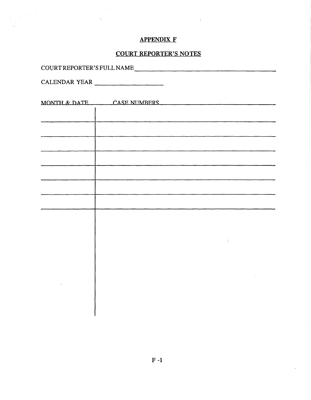## APPENDIX F

## COURT REPORTER'S NOTES

| COURT REPORTER'S FULL NAME |  |
|----------------------------|--|
|                            |  |
|                            |  |
|                            |  |

 $\label{eq:2} \begin{array}{l} \mathcal{L}_{\text{max}}(\mathcal{L}_{\text{max}}) \\ \mathcal{L}_{\text{max}}(\mathcal{L}_{\text{max}}) = 0 \\ \mathcal{L}_{\text{max}}(\mathcal{L}_{\text{max}}) = 0 \end{array}$ 

CALENDAR YEAR

| MONTH & DATE CASE NUMBERS |
|---------------------------|
|                           |
|                           |
|                           |
|                           |
|                           |
|                           |
|                           |
|                           |
|                           |
|                           |
|                           |
|                           |
|                           |
|                           |
|                           |
|                           |
|                           |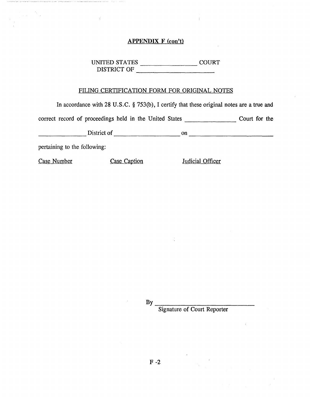## APPENDIX F (con't)

UNITED STATES \_\_\_\_\_\_\_ COURT DISTRICT OF ---------------------

## FILING CERTIFICATION FORM FOR ORIGINAL NOTES

In accordance with 28 U.S.C. § 753(b), I certify that these original notes are a true and

correct record of proceedings held in the United States \_\_\_\_\_\_\_ Court for the

 $D$ istrict of  $\_\_\_\_\_$  on  $\_\_\_\_\_\_\_$ 

pertaining to the following:

 $\frac{1}{\sqrt{2\pi}}\frac{1}{\sqrt{2\pi}}\frac{1}{\sqrt{2\pi}}\frac{1}{\sqrt{2\pi}}\frac{1}{\sqrt{2\pi}}\frac{1}{\sqrt{2\pi}}\frac{1}{\sqrt{2\pi}}\frac{1}{\sqrt{2\pi}}\frac{1}{\sqrt{2\pi}}\frac{1}{\sqrt{2\pi}}\frac{1}{\sqrt{2\pi}}\frac{1}{\sqrt{2\pi}}\frac{1}{\sqrt{2\pi}}\frac{1}{\sqrt{2\pi}}\frac{1}{\sqrt{2\pi}}\frac{1}{\sqrt{2\pi}}\frac{1}{\sqrt{2\pi}}\frac{1}{\sqrt{2\pi}}\frac{1$ 

Case Number Case Caption Indicial Officer

 $Bv$ 

Signature of Court Reporter

 $F - 2$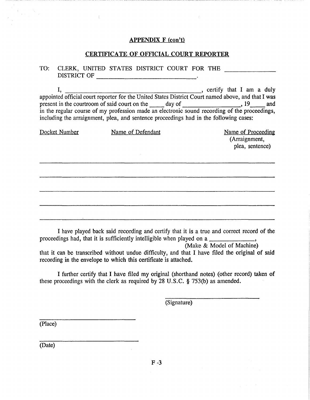### APPENDIX F (con't)

## CERTIFICATE OF OFFICIAL COURT REPORTER

## TO: CLERK, UNITED STATES DISTRICT COURT FOR THE DISTRICT OF ---------------------------

I, , certify that I am a duly appointed official court reporter for the United States District Court named above, and that I was appointed official court reporter for the United States District Court named above, and that I was<br>present in the courtroom of said court on the day of <u>compare and</u>,  $19$  and in the regular course of my profession made an electronic sound recording of the proceedings, including the arraignment, plea, and sentence proceedings had in the following cases:

| Docket Number | Name of Defendant | Name of Proceeding<br>(Arraignment,<br>plea, sentence) |
|---------------|-------------------|--------------------------------------------------------|
|               |                   |                                                        |
|               |                   |                                                        |
|               |                   |                                                        |

I have played back said recording and certify that it is a true and correct record of the proceedings had, that it is sufficiently intelligible when played on a , where  $\frac{1}{2}$ ,

(Make & Model of Machine)

that it can be transcribed without undue difficulty, and that I have filed the original of said recording in the envelope to which this certificate is attached.

I further certify that I have filed my original (shorthand notes) (other record) taken of these proceedings with the clerk as required by 28 U.S.C. § 753(b) as amended.

(Signature)

(Place)

 $\chi^2/\chi^2$ 

(Date)

 $F - 3$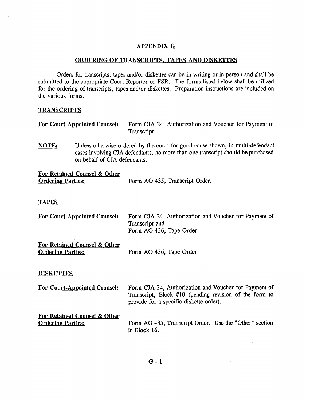## APPENDIX G

 $\int$ 

## ORDERING OF TRANSCRIPTS. TAPES AND DISKETTES

Orders for transcripts, tapes and/or diskettes can be in writing or in person and shall be submitted to the appropriate Court Reporter or ESR. The forms listed below shall be utilized for the ordering of transcripts, tapes and/or diskettes. Preparation instructions are included on the various forms.

## **TRANSCRIPTS**

 $\left\langle \right\rangle$ 

| <b>For Court-Appointed Counsel:</b> | Form CJA 24, Authorization and Voucher for Payment of |
|-------------------------------------|-------------------------------------------------------|
|                                     | Transcript                                            |

NOTE: Unless otherwise ordered by the court for good cause shown, in multi-defendant cases involving CJA defendants, no more than one transcript should be purchased on behalf of CJA defendants.

| For Retained Counsel & Other |                                |
|------------------------------|--------------------------------|
| <b>Ordering Parties:</b>     | Form AO 435, Transcript Order. |

#### TAPES

| <b>For Court-Appointed Counsel:</b>                                 | Form CJA 24, Authorization and Voucher for Payment of<br>Transcript and<br>Form AO 436, Tape Order                                                         |
|---------------------------------------------------------------------|------------------------------------------------------------------------------------------------------------------------------------------------------------|
| For Retained Counsel & Other<br><b>Ordering Parties:</b>            | Form AO 436, Tape Order                                                                                                                                    |
| <b>DISKETTES</b>                                                    |                                                                                                                                                            |
| <b>For Court-Appointed Counsel:</b>                                 | Form CJA 24, Authorization and Voucher for Payment of<br>Transcript, Block #10 (pending revision of the form to<br>provide for a specific diskette order). |
| <b>For Retained Counsel &amp; Other</b><br><b>Ordering Parties:</b> | Form AO 435, Transcript Order. Use the "Other" section<br>in Block 16.                                                                                     |

in the company of the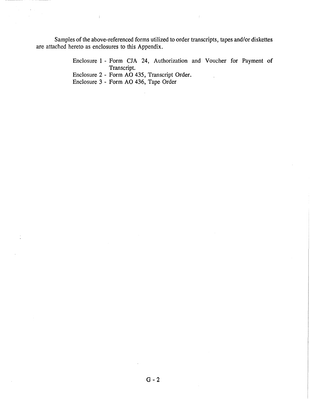Samples of the above-referenced forms utilized to order transcripts, tapes and/or diskettes are attached hereto as enclosures to this Appendix.

> Enclosure 1 - Form CJA 24, Authorization and Voucher for Payment of Transcript.

Enclosure 2- Form AO 435, Transcript Order.

Enclosure 3 - Form AO 436, Tape Order

 $\langle$